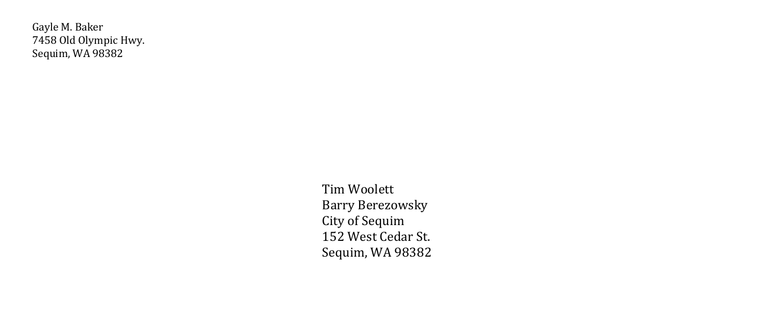Gayle M. Baker 7458 Old Olympic Hwy. Sequim, WA 98382

> Tim Woolett Barry Berezowsky City of Sequim 152 West Cedar St. Sequim, WA 98382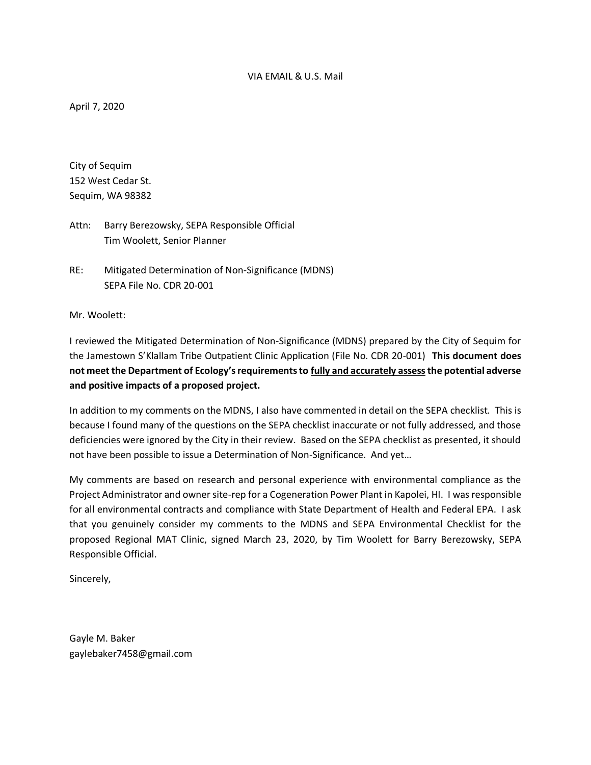April 7, 2020

City of Sequim 152 West Cedar St. Sequim, WA 98382

Attn: Barry Berezowsky, SEPA Responsible Official Tim Woolett, Senior Planner

RE: Mitigated Determination of Non-Significance (MDNS) SEPA File No. CDR 20-001

Mr. Woolett:

I reviewed the Mitigated Determination of Non-Significance (MDNS) prepared by the City of Sequim for the Jamestown S'Klallam Tribe Outpatient Clinic Application (File No. CDR 20-001) **This document does not meet the Department of Ecology's requirements to fully and accurately assessthe potential adverse and positive impacts of a proposed project.**

In addition to my comments on the MDNS, I also have commented in detail on the SEPA checklist. This is because I found many of the questions on the SEPA checklist inaccurate or not fully addressed, and those deficiencies were ignored by the City in their review. Based on the SEPA checklist as presented, it should not have been possible to issue a Determination of Non-Significance. And yet…

My comments are based on research and personal experience with environmental compliance as the Project Administrator and owner site-rep for a Cogeneration Power Plant in Kapolei, HI. I was responsible for all environmental contracts and compliance with State Department of Health and Federal EPA. I ask that you genuinely consider my comments to the MDNS and SEPA Environmental Checklist for the proposed Regional MAT Clinic, signed March 23, 2020, by Tim Woolett for Barry Berezowsky, SEPA Responsible Official.

Sincerely,

Gayle M. Baker gaylebaker7458@gmail.com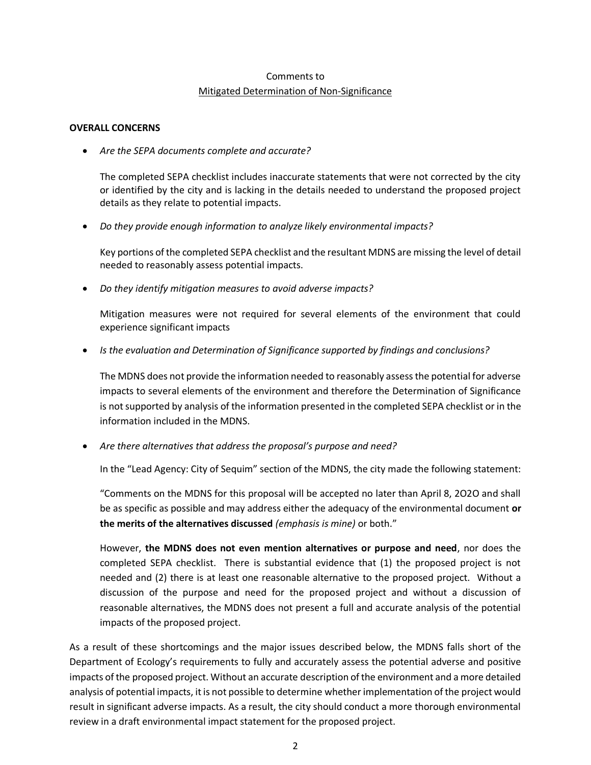# Comments to Mitigated Determination of Non-Significance

#### **OVERALL CONCERNS**

• *Are the SEPA documents complete and accurate?*

The completed SEPA checklist includes inaccurate statements that were not corrected by the city or identified by the city and is lacking in the details needed to understand the proposed project details as they relate to potential impacts.

• *Do they provide enough information to analyze likely environmental impacts?*

Key portions of the completed SEPA checklist and the resultant MDNS are missing the level of detail needed to reasonably assess potential impacts.

• *Do they identify mitigation measures to avoid adverse impacts?*

Mitigation measures were not required for several elements of the environment that could experience significant impacts

• *Is the evaluation and Determination of Significance supported by findings and conclusions?*

The MDNS does not provide the information needed to reasonably assess the potential for adverse impacts to several elements of the environment and therefore the Determination of Significance is not supported by analysis of the information presented in the completed SEPA checklist or in the information included in the MDNS.

• *Are there alternatives that address the proposal's purpose and need?*

In the "Lead Agency: City of Sequim" section of the MDNS, the city made the following statement:

"Comments on the MDNS for this proposal will be accepted no later than April 8, 2O2O and shall be as specific as possible and may address either the adequacy of the environmental document **or the merits of the alternatives discussed** *(emphasis is mine)* or both."

However, **the MDNS does not even mention alternatives or purpose and need**, nor does the completed SEPA checklist. There is substantial evidence that (1) the proposed project is not needed and (2) there is at least one reasonable alternative to the proposed project. Without a discussion of the purpose and need for the proposed project and without a discussion of reasonable alternatives, the MDNS does not present a full and accurate analysis of the potential impacts of the proposed project.

As a result of these shortcomings and the major issues described below, the MDNS falls short of the Department of Ecology's requirements to fully and accurately assess the potential adverse and positive impacts of the proposed project. Without an accurate description of the environment and a more detailed analysis of potential impacts, it is not possible to determine whether implementation of the project would result in significant adverse impacts. As a result, the city should conduct a more thorough environmental review in a draft environmental impact statement for the proposed project.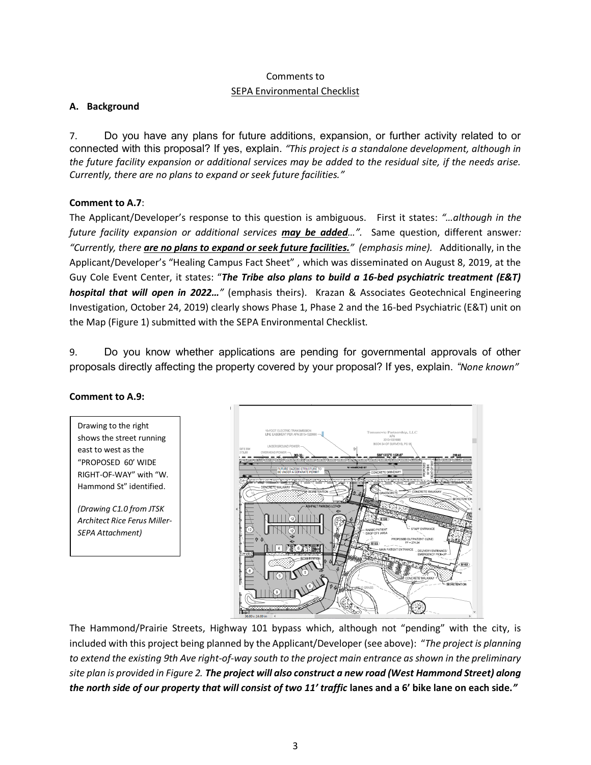# Comments to SEPA Environmental Checklist

## **A. Background**

7. Do you have any plans for future additions, expansion, or further activity related to or connected with this proposal? If yes, explain. *"This project is a standalone development, although in the future facility expansion or additional services may be added to the residual site, if the needs arise. Currently, there are no plans to expand or seek future facilities."*

## **Comment to A.7**:

The Applicant/Developer's response to this question is ambiguous. First it states: *"…although in the future facility expansion or additional services may be added…".* Same question, different answer*: "Currently, there are no plans to expand or seek future facilities." (emphasis mine).* Additionally, in the Applicant/Developer's "Healing Campus Fact Sheet" , which was disseminated on August 8, 2019, at the Guy Cole Event Center, it states: "*The Tribe also plans to build a 16-bed psychiatric treatment (E&T) hospital that will open in 2022…"* (emphasis theirs). Krazan & Associates Geotechnical Engineering Investigation, October 24, 2019) clearly shows Phase 1, Phase 2 and the 16-bed Psychiatric (E&T) unit on the Map (Figure 1) submitted with the SEPA Environmental Checklist.

9. Do you know whether applications are pending for governmental approvals of other proposals directly affecting the property covered by your proposal? If yes, explain. *"None known"*

#### **Comment to A.9:**

Drawing to the right shows the street running east to west as the "PROPOSED 60' WIDE RIGHT-OF-WAY" with "W. Hammond St" identified.

*(Drawing C1.0 from JTSK Architect Rice Ferus Miller-SEPA Attachment)*



The Hammond/Prairie Streets, Highway 101 bypass which, although not "pending" with the city, is included with this project being planned by the Applicant/Developer (see above): "*The project is planning to extend the existing 9th Ave right-of-way south to the project main entrance as shown in the preliminary site plan is provided in Figure 2. The project will also construct a new road (West Hammond Street) along the north side of our property that will consist of two 11' traffic lanes and a 6' bike lane on each side."*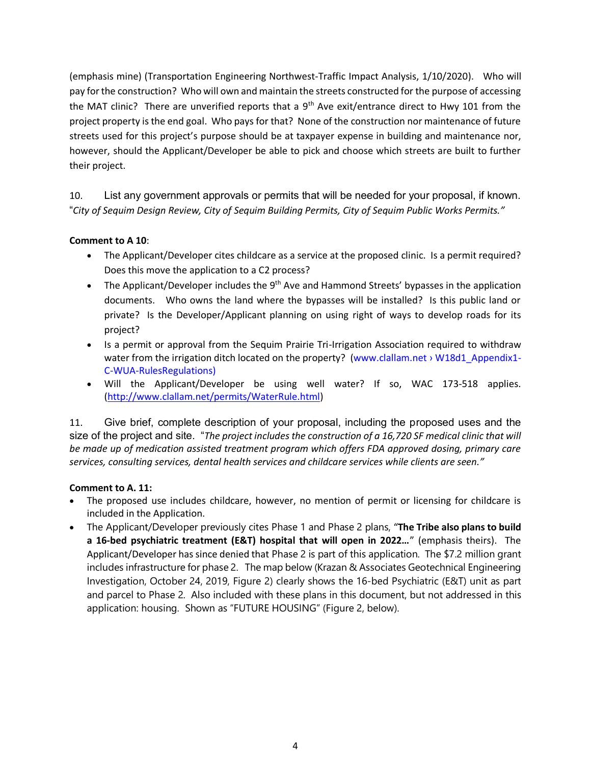(emphasis mine) (Transportation Engineering Northwest-Traffic Impact Analysis, 1/10/2020).Who will pay for the construction? Who will own and maintain the streets constructed for the purpose of accessing the MAT clinic? There are unverified reports that a  $9<sup>th</sup>$  Ave exit/entrance direct to Hwy 101 from the project property is the end goal. Who pays for that? None of the construction nor maintenance of future streets used for this project's purpose should be at taxpayer expense in building and maintenance nor, however, should the Applicant/Developer be able to pick and choose which streets are built to further their project.

10. List any government approvals or permits that will be needed for your proposal, if known. "*City of Sequim Design Review, City of Sequim Building Permits, City of Sequim Public Works Permits."* 

## **Comment to A 10**:

- The Applicant/Developer cites childcare as a service at the proposed clinic. Is a permit required? Does this move the application to a C2 process?
- The Applicant/Developer includes the 9<sup>th</sup> Ave and Hammond Streets' bypasses in the application documents. Who owns the land where the bypasses will be installed? Is this public land or private? Is the Developer/Applicant planning on using right of ways to develop roads for its project?
- Is a permit or approval from the Sequim Prairie Tri-Irrigation Association required to withdraw water from the irrigation ditch located on the property? (www.clallam.net > W18d1\_Appendix1-C-WUA-RulesRegulations)
- Will the Applicant/Developer be using well water? If so, WAC 173-518 applies. [\(http://www.clallam.net/permits/WaterRule.html\)](http://www.clallam.net/permits/WaterRule.html)

11. Give brief, complete description of your proposal, including the proposed uses and the size of the project and site. "*The project includes the construction of a 16,720 SF medical clinic that will be made up of medication assisted treatment program which offers FDA approved dosing, primary care services, consulting services, dental health services and childcare services while clients are seen."*

## **Comment to A. 11:**

- The proposed use includes childcare, however, no mention of permit or licensing for childcare is included in the Application.
- The Applicant/Developer previously cites Phase 1 and Phase 2 plans, "**The Tribe also plans to build a 16-bed psychiatric treatment (E&T) hospital that will open in 2022…**" (emphasis theirs). The Applicant/Developer has since denied that Phase 2 is part of this application. The \$7.2 million grant includes infrastructure for phase 2. The map below (Krazan & Associates Geotechnical Engineering Investigation, October 24, 2019, Figure 2) clearly shows the 16-bed Psychiatric (E&T) unit as part and parcel to Phase 2. Also included with these plans in this document, but not addressed in this application: housing. Shown as "FUTURE HOUSING" (Figure 2, below).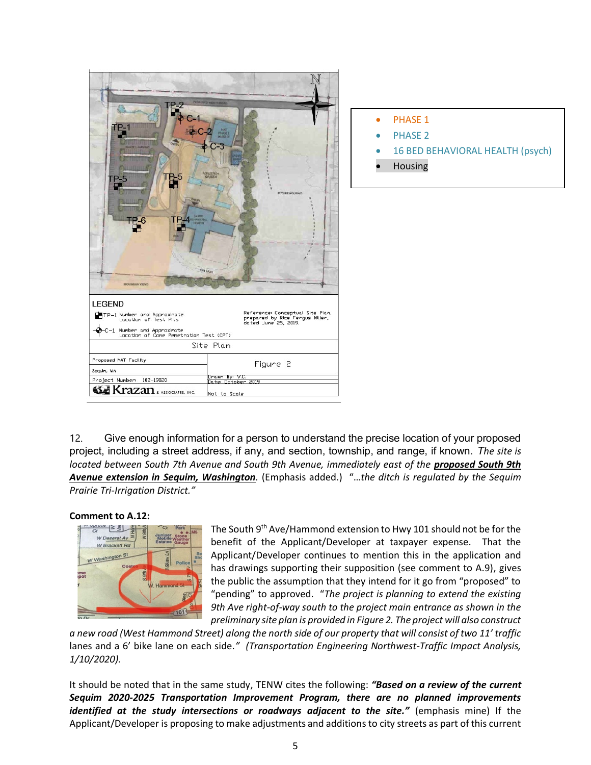

PHASE 1

- PHASE 2
- 16 BED BEHAVIORAL HEALTH (psych)
- Housing

12. Give enough information for a person to understand the precise location of your proposed project, including a street address, if any, and section, township, and range, if known. *The site is located between South 7th Avenue and South 9th Avenue, immediately east of the proposed South 9th Avenue extension in Sequim, Washington.* (Emphasis added.) "…*the ditch is regulated by the Sequim Prairie Tri-Irrigation District."*

#### **Comment to A.12:**



The South  $9<sup>th</sup>$  Ave/Hammond extension to Hwy 101 should not be for the benefit of the Applicant/Developer at taxpayer expense. That the Applicant/Developer continues to mention this in the application and has drawings supporting their supposition (see comment to A.9), gives the public the assumption that they intend for it go from "proposed" to "pending" to approved. "*The project is planning to extend the existing 9th Ave right-of-way south to the project main entrance as shown in the preliminary site plan is provided in Figure 2. The project will also construct* 

*a new road (West Hammond Street) along the north side of our property that will consist of two 11' traffic* lanes and a 6' bike lane on each side.*" (Transportation Engineering Northwest-Traffic Impact Analysis, 1/10/2020).* 

It should be noted that in the same study, TENW cites the following: *"Based on a review of the current Sequim 2020-2025 Transportation Improvement Program, there are no planned improvements identified at the study intersections or roadways adjacent to the site."* (emphasis mine) If the Applicant/Developer is proposing to make adjustments and additions to city streets as part of this current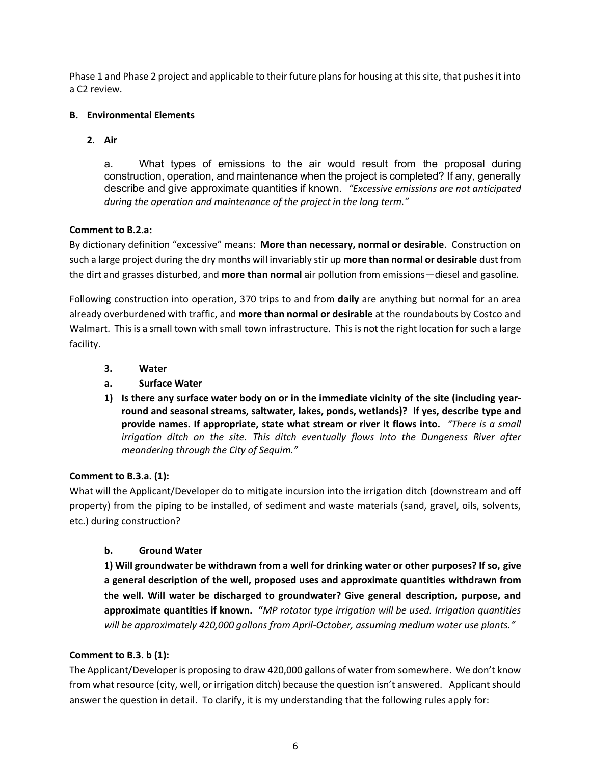Phase 1 and Phase 2 project and applicable to their future plans for housing at this site, that pushes it into a C2 review.

## **B. Environmental Elements**

**2**. **Air**

a. What types of emissions to the air would result from the proposal during construction, operation, and maintenance when the project is completed? If any, generally describe and give approximate quantities if known. *"Excessive emissions are not anticipated during the operation and maintenance of the project in the long term."*

## **Comment to B.2.a:**

By dictionary definition "excessive" means: **More than necessary, normal or desirable**. Construction on such a large project during the dry months will invariably stir up **more than normal or desirable** dust from the dirt and grasses disturbed, and **more than normal** air pollution from emissions—diesel and gasoline.

Following construction into operation, 370 trips to and from **daily** are anything but normal for an area already overburdened with traffic, and **more than normal or desirable** at the roundabouts by Costco and Walmart. This is a small town with small town infrastructure. This is not the right location for such a large facility.

- **3. Water**
- **a. Surface Water**
- **1) Is there any surface water body on or in the immediate vicinity of the site (including yearround and seasonal streams, saltwater, lakes, ponds, wetlands)? If yes, describe type and provide names. If appropriate, state what stream or river it flows into.** *"There is a small irrigation ditch on the site. This ditch eventually flows into the Dungeness River after meandering through the City of Sequim."*

#### **Comment to B.3.a. (1):**

What will the Applicant/Developer do to mitigate incursion into the irrigation ditch (downstream and off property) from the piping to be installed, of sediment and waste materials (sand, gravel, oils, solvents, etc.) during construction?

#### **b. Ground Water**

**1) Will groundwater be withdrawn from a well for drinking water or other purposes? If so, give a general description of the well, proposed uses and approximate quantities withdrawn from the well. Will water be discharged to groundwater? Give general description, purpose, and approximate quantities if known. "***MP rotator type irrigation will be used. Irrigation quantities will be approximately 420,000 gallons from April-October, assuming medium water use plants."*

#### **Comment to B.3. b (1):**

The Applicant/Developer is proposing to draw 420,000 gallons of water from somewhere. We don't know from what resource (city, well, or irrigation ditch) because the question isn't answered. Applicant should answer the question in detail. To clarify, it is my understanding that the following rules apply for: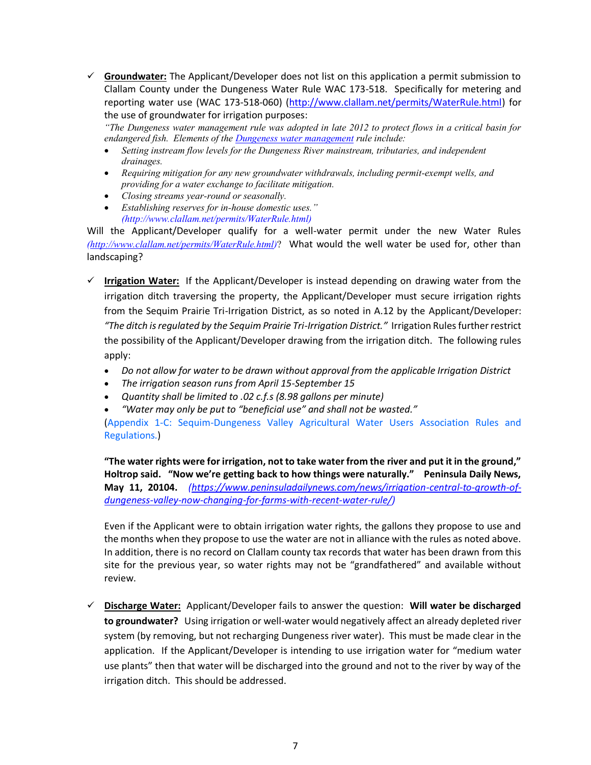✓ **Groundwater:** The Applicant/Developer does not list on this application a permit submission to Clallam County under the Dungeness Water Rule WAC 173-518. Specifically for metering and reporting water use (WAC 173-518-060) [\(http://www.clallam.net/permits/WaterRule.html\)](http://www.clallam.net/permits/WaterRule.html) for the use of groundwater for irrigation purposes:

*"The Dungeness water management rule was adopted in late 2012 to protect flows in a critical basin for endangered fish. Elements of the [Dungeness water management](http://apps.leg.wa.gov/WAC/default.aspx?cite=173-518&full=true) rule include:*

- *Setting instream flow levels for the Dungeness River mainstream, tributaries, and independent drainages.*
- *Requiring mitigation for any new groundwater withdrawals, including permit-exempt wells, and providing for a water exchange to facilitate mitigation.*
- *Closing streams year-round or seasonally.*
- *Establishing reserves for in-house domestic uses." (http://www.clallam.net/permits/WaterRule.html)*

Will the Applicant/Developer qualify for a well-water permit under the new Water Rules *[\(http://www.clallam.net/permits/WaterRule.html\)](http://www.clallam.net/permits/WaterRule.html)*? What would the well water be used for, other than landscaping?

- ✓ **Irrigation Water:** If the Applicant/Developer is instead depending on drawing water from the irrigation ditch traversing the property, the Applicant/Developer must secure irrigation rights from the Sequim Prairie Tri-Irrigation District, as so noted in A.12 by the Applicant/Developer: *"The ditch is regulated by the Sequim Prairie Tri-Irrigation District."* Irrigation Rules further restrict the possibility of the Applicant/Developer drawing from the irrigation ditch. The following rules apply:
	- *Do not allow for water to be drawn without approval from the applicable Irrigation District*
	- *The irrigation season runs from April 15-September 15*
	- *Quantity shall be limited to .02 c.f.s (8.98 gallons per minute)*
	- *"Water may only be put to "beneficial use" and shall not be wasted."*

(Appendix 1-C: Sequim-Dungeness Valley Agricultural Water Users Association Rules and Regulations.)

**"The water rights were for irrigation, not to take water from the river and put it in the ground," Holtrop said. "Now we're getting back to how things were naturally." Peninsula Daily News, May 11, 20104.** *[\(https://www.peninsuladailynews.com/news/irrigation-central-to-growth-of](https://www.peninsuladailynews.com/news/irrigation-central-to-growth-of-dungeness-valley-now-changing-for-farms-with-recent-water-rule/)[dungeness-valley-now-changing-for-farms-with-recent-water-rule/\)](https://www.peninsuladailynews.com/news/irrigation-central-to-growth-of-dungeness-valley-now-changing-for-farms-with-recent-water-rule/)*

Even if the Applicant were to obtain irrigation water rights, the gallons they propose to use and the months when they propose to use the water are not in alliance with the rules as noted above. In addition, there is no record on Clallam county tax records that water has been drawn from this site for the previous year, so water rights may not be "grandfathered" and available without review.

✓ **Discharge Water:** Applicant/Developer fails to answer the question: **Will water be discharged to groundwater?** Using irrigation or well-water would negatively affect an already depleted river system (by removing, but not recharging Dungeness river water). This must be made clear in the application. If the Applicant/Developer is intending to use irrigation water for "medium water use plants" then that water will be discharged into the ground and not to the river by way of the irrigation ditch. This should be addressed.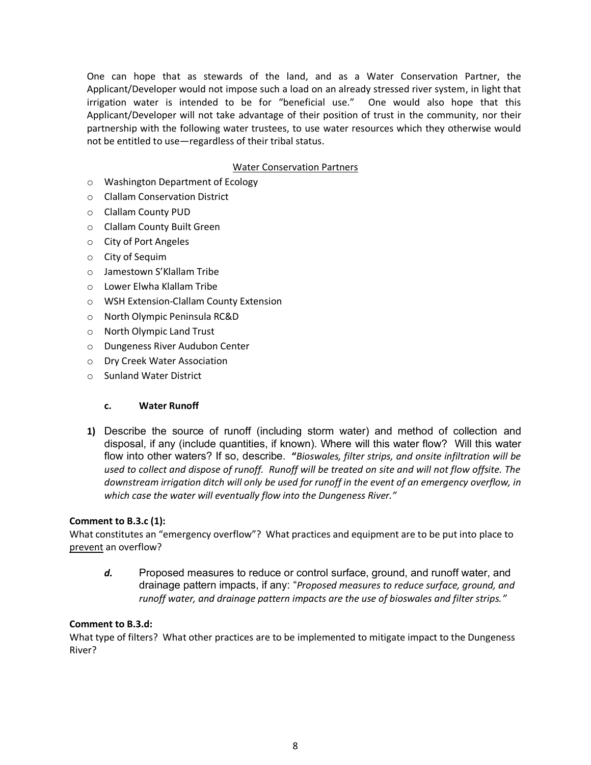One can hope that as stewards of the land, and as a Water Conservation Partner, the Applicant/Developer would not impose such a load on an already stressed river system, in light that irrigation water is intended to be for "beneficial use." One would also hope that this Applicant/Developer will not take advantage of their position of trust in the community, nor their partnership with the following water trustees, to use water resources which they otherwise would not be entitled to use—regardless of their tribal status.

## Water Conservation Partners

- o Washington Department of Ecology
- o Clallam Conservation District
- o Clallam County PUD
- o Clallam County Built Green
- o City of Port Angeles
- o City of Sequim
- o Jamestown S'Klallam Tribe
- o Lower Elwha Klallam Tribe
- o WSH Extension-Clallam County Extension
- o North Olympic Peninsula RC&D
- o North Olympic Land Trust
- o Dungeness River Audubon Center
- o Dry Creek Water Association
- o Sunland Water District

#### **c. Water Runoff**

**1)** Describe the source of runoff (including storm water) and method of collection and disposal, if any (include quantities, if known). Where will this water flow? Will this water flow into other waters? If so, describe. **"***Bioswales, filter strips, and onsite infiltration will be used to collect and dispose of runoff. Runoff will be treated on site and will not flow offsite. The downstream irrigation ditch will only be used for runoff in the event of an emergency overflow, in which case the water will eventually flow into the Dungeness River."*

#### **Comment to B.3.c (1):**

What constitutes an "emergency overflow"? What practices and equipment are to be put into place to prevent an overflow?

*d.* Proposed measures to reduce or control surface, ground, and runoff water, and drainage pattern impacts, if any: "*Proposed measures to reduce surface, ground, and runoff water, and drainage pattern impacts are the use of bioswales and filter strips."*

#### **Comment to B.3.d:**

What type of filters? What other practices are to be implemented to mitigate impact to the Dungeness River?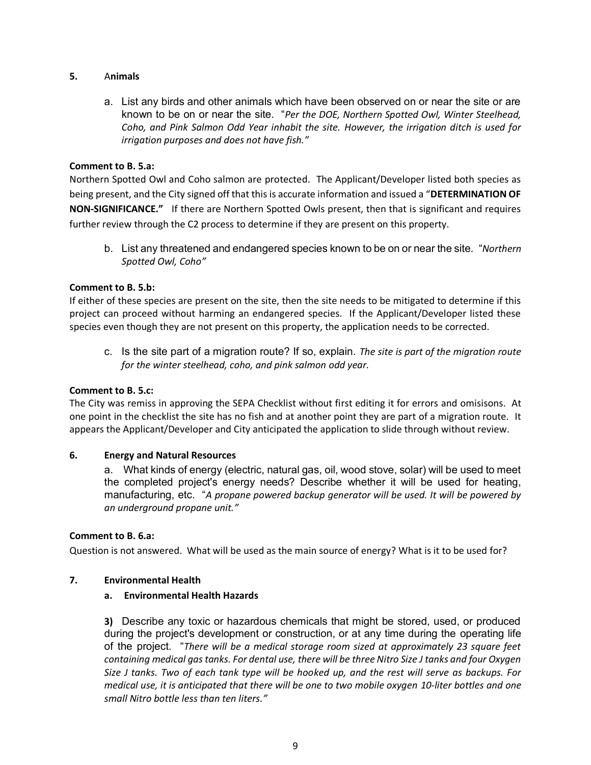### **5.** A**nimals**

a. List any birds and other animals which have been observed on or near the site or are known to be on or near the site. "*Per the DOE, Northern Spotted Owl, Winter Steelhead, Coho, and Pink Salmon Odd Year inhabit the site. However, the irrigation ditch is used for irrigation purposes and does not have fish."*

## **Comment to B. 5.a:**

Northern Spotted Owl and Coho salmon are protected. The Applicant/Developer listed both species as being present, and the City signed off that this is accurate information and issued a "**DETERMINATION OF NON-SIGNIFICANCE."** If there are Northern Spotted Owls present, then that is significant and requires further review through the C2 process to determine if they are present on this property.

b. List any threatened and endangered species known to be on or near the site. "*Northern Spotted Owl, Coho"*

## **Comment to B. 5.b:**

If either of these species are present on the site, then the site needs to be mitigated to determine if this project can proceed without harming an endangered species. If the Applicant/Developer listed these species even though they are not present on this property, the application needs to be corrected.

c. Is the site part of a migration route? If so, explain. *The site is part of the migration route for the winter steelhead, coho, and pink salmon odd year.*

#### **Comment to B. 5.c:**

The City was remiss in approving the SEPA Checklist without first editing it for errors and omisisons. At one point in the checklist the site has no fish and at another point they are part of a migration route. It appears the Applicant/Developer and City anticipated the application to slide through without review.

#### **6. Energy and Natural Resources**

a. What kinds of energy (electric, natural gas, oil, wood stove, solar) will be used to meet the completed project's energy needs? Describe whether it will be used for heating, manufacturing, etc. "*A propane powered backup generator will be used. It will be powered by an underground propane unit."*

#### **Comment to B. 6.a:**

Question is not answered. What will be used as the main source of energy? What is it to be used for?

### **7. Environmental Health**

### **a. Environmental Health Hazards**

**3)** Describe any toxic or hazardous chemicals that might be stored, used, or produced during the project's development or construction, or at any time during the operating life of the project. "*There will be a medical storage room sized at approximately 23 square feet containing medical gas tanks. For dental use, there will be three Nitro Size J tanks and four Oxygen Size J tanks. Two of each tank type will be hooked up, and the rest will serve as backups. For medical use, it is anticipated that there will be one to two mobile oxygen 10-liter bottles and one small Nitro bottle less than ten liters."*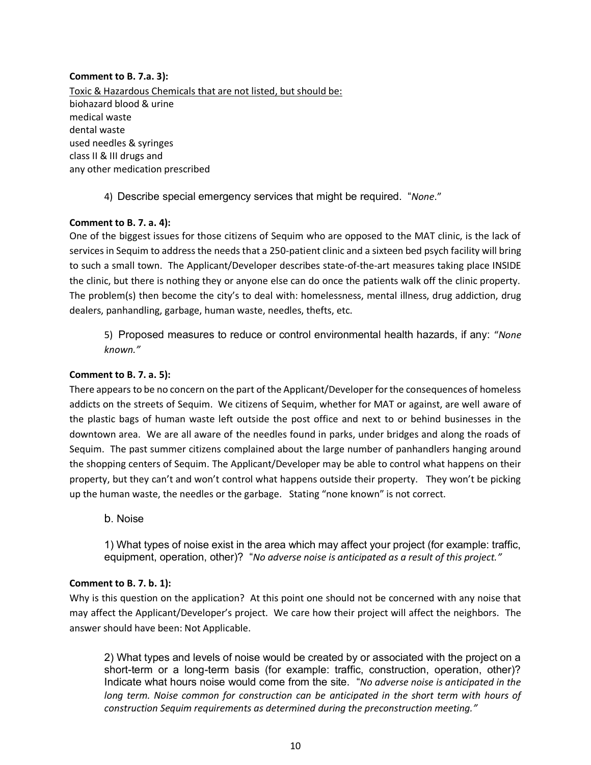### **Comment to B. 7.a. 3):**

Toxic & Hazardous Chemicals that are not listed, but should be: biohazard blood & urine medical waste dental waste used needles & syringes class II & III drugs and any other medication prescribed

4) Describe special emergency services that might be required. "*None*."

## **Comment to B. 7. a. 4):**

One of the biggest issues for those citizens of Sequim who are opposed to the MAT clinic, is the lack of services in Sequim to address the needs that a 250-patient clinic and a sixteen bed psych facility will bring to such a small town. The Applicant/Developer describes state-of-the-art measures taking place INSIDE the clinic, but there is nothing they or anyone else can do once the patients walk off the clinic property. The problem(s) then become the city's to deal with: homelessness, mental illness, drug addiction, drug dealers, panhandling, garbage, human waste, needles, thefts, etc.

5) Proposed measures to reduce or control environmental health hazards, if any: "*None known."*

## **Comment to B. 7. a. 5):**

There appears to be no concern on the part of the Applicant/Developer for the consequences of homeless addicts on the streets of Sequim. We citizens of Sequim, whether for MAT or against, are well aware of the plastic bags of human waste left outside the post office and next to or behind businesses in the downtown area. We are all aware of the needles found in parks, under bridges and along the roads of Sequim. The past summer citizens complained about the large number of panhandlers hanging around the shopping centers of Sequim. The Applicant/Developer may be able to control what happens on their property, but they can't and won't control what happens outside their property. They won't be picking up the human waste, the needles or the garbage. Stating "none known" is not correct.

b. Noise

1) What types of noise exist in the area which may affect your project (for example: traffic, equipment, operation, other)? "*No adverse noise is anticipated as a result of this project."*

#### **Comment to B. 7. b. 1):**

Why is this question on the application? At this point one should not be concerned with any noise that may affect the Applicant/Developer's project. We care how their project will affect the neighbors. The answer should have been: Not Applicable.

2) What types and levels of noise would be created by or associated with the project on a short-term or a long-term basis (for example: traffic, construction, operation, other)? Indicate what hours noise would come from the site. "*No adverse noise is anticipated in the long term. Noise common for construction can be anticipated in the short term with hours of construction Sequim requirements as determined during the preconstruction meeting."*